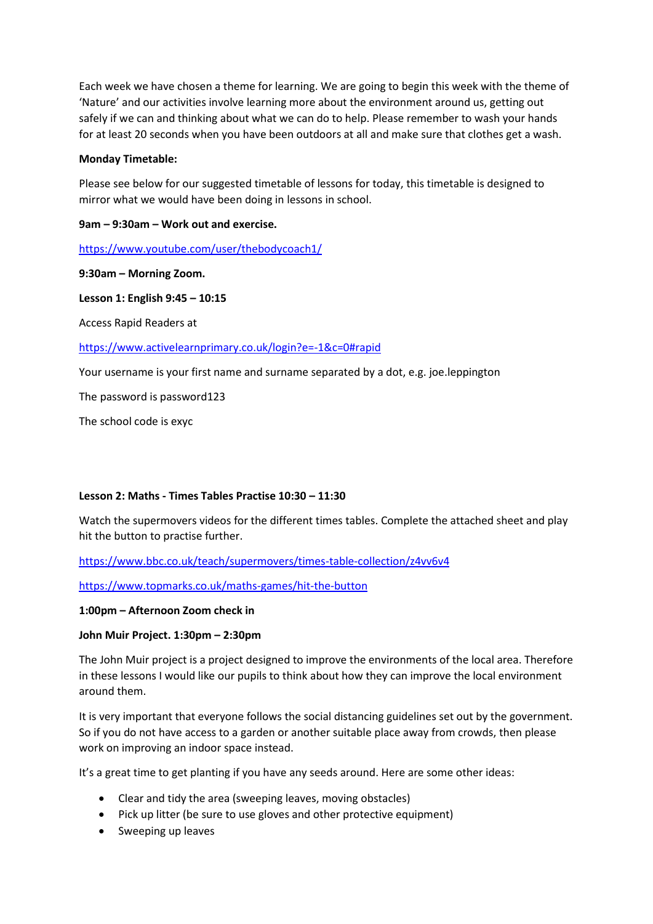Each week we have chosen a theme for learning. We are going to begin this week with the theme of 'Nature' and our activities involve learning more about the environment around us, getting out safely if we can and thinking about what we can do to help. Please remember to wash your hands for at least 20 seconds when you have been outdoors at all and make sure that clothes get a wash.

### **Monday Timetable:**

Please see below for our suggested timetable of lessons for today, this timetable is designed to mirror what we would have been doing in lessons in school.

## **9am – 9:30am – Work out and exercise.**

<https://www.youtube.com/user/thebodycoach1/>

#### **9:30am – Morning Zoom.**

### **Lesson 1: English 9:45 – 10:15**

Access Rapid Readers at

<https://www.activelearnprimary.co.uk/login?e=-1&c=0#rapid>

Your username is your first name and surname separated by a dot, e.g. joe.leppington

The password is password123

The school code is exyc

# **Lesson 2: Maths - Times Tables Practise 10:30 – 11:30**

Watch the supermovers videos for the different times tables. Complete the attached sheet and play hit the button to practise further.

<https://www.bbc.co.uk/teach/supermovers/times-table-collection/z4vv6v4>

<https://www.topmarks.co.uk/maths-games/hit-the-button>

#### **1:00pm – Afternoon Zoom check in**

# **John Muir Project. 1:30pm – 2:30pm**

The John Muir project is a project designed to improve the environments of the local area. Therefore in these lessons I would like our pupils to think about how they can improve the local environment around them.

It is very important that everyone follows the social distancing guidelines set out by the government. So if you do not have access to a garden or another suitable place away from crowds, then please work on improving an indoor space instead.

It's a great time to get planting if you have any seeds around. Here are some other ideas:

- Clear and tidy the area (sweeping leaves, moving obstacles)
- Pick up litter (be sure to use gloves and other protective equipment)
- Sweeping up leaves